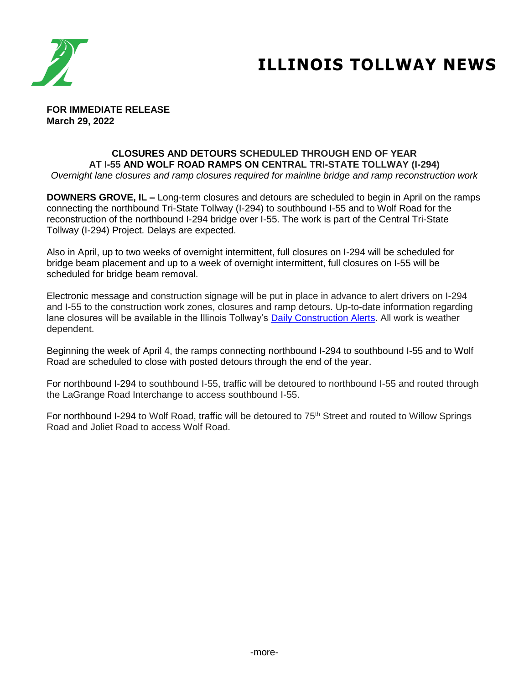

# **ILLINOIS TOLLWAY NEWS**

**FOR IMMEDIATE RELEASE March 29, 2022**

## **CLOSURES AND DETOURS SCHEDULED THROUGH END OF YEAR AT I-55 AND WOLF ROAD RAMPS ON CENTRAL TRI-STATE TOLLWAY (I-294)**

*Overnight lane closures and ramp closures required for mainline bridge and ramp reconstruction work*

**DOWNERS GROVE, IL –** Long-term closures and detours are scheduled to begin in April on the ramps connecting the northbound Tri-State Tollway (I-294) to southbound I-55 and to Wolf Road for the reconstruction of the northbound I-294 bridge over I-55. The work is part of the Central Tri-State Tollway (I-294) Project. Delays are expected.

Also in April, up to two weeks of overnight intermittent, full closures on I-294 will be scheduled for bridge beam placement and up to a week of overnight intermittent, full closures on I-55 will be scheduled for bridge beam removal.

Electronic message and construction signage will be put in place in advance to alert drivers on I-294 and I-55 to the construction work zones, closures and ramp detours. Up-to-date information regarding lane closures will be available in the Illinois Tollway's [Daily Construction Alerts.](https://www.illinoistollway.com/media-center/construction-alerts) All work is weather dependent.

Beginning the week of April 4, the ramps connecting northbound I-294 to southbound I-55 and to Wolf Road are scheduled to close with posted detours through the end of the year.

For northbound I-294 to southbound I-55, traffic will be detoured to northbound I-55 and routed through the LaGrange Road Interchange to access southbound I-55.

For northbound I-294 to Wolf Road, traffic will be detoured to 75<sup>th</sup> Street and routed to Willow Springs Road and Joliet Road to access Wolf Road.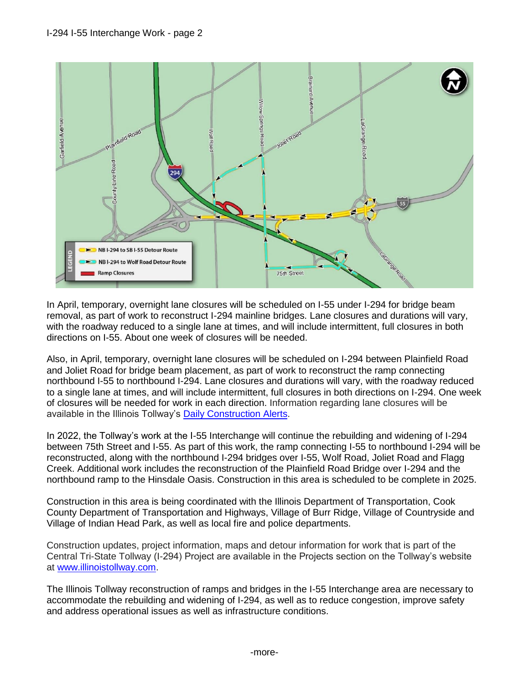

In April, temporary, overnight lane closures will be scheduled on I-55 under I-294 for bridge beam removal, as part of work to reconstruct I-294 mainline bridges. Lane closures and durations will vary, with the roadway reduced to a single lane at times, and will include intermittent, full closures in both directions on I-55. About one week of closures will be needed.

Also, in April, temporary, overnight lane closures will be scheduled on I-294 between Plainfield Road and Joliet Road for bridge beam placement, as part of work to reconstruct the ramp connecting northbound I-55 to northbound I-294. Lane closures and durations will vary, with the roadway reduced to a single lane at times, and will include intermittent, full closures in both directions on I-294. One week of closures will be needed for work in each direction. Information regarding lane closures will be available in the Illinois Tollway's **Daily Construction Alerts**.

In 2022, the Tollway's work at the I-55 Interchange will continue the rebuilding and widening of I-294 between 75th Street and I-55. As part of this work, the ramp connecting I-55 to northbound I-294 will be reconstructed, along with the northbound I-294 bridges over I-55, Wolf Road, Joliet Road and Flagg Creek. Additional work includes the reconstruction of the Plainfield Road Bridge over I-294 and the northbound ramp to the Hinsdale Oasis. Construction in this area is scheduled to be complete in 2025.

Construction in this area is being coordinated with the Illinois Department of Transportation, Cook County Department of Transportation and Highways, Village of Burr Ridge, Village of Countryside and Village of Indian Head Park, as well as local fire and police departments.

Construction updates, project information, maps and detour information for work that is part of the Central Tri-State Tollway (I-294) Project are available in the Projects section on the Tollway's website at [www.illinoistollway.com.](http://www.illinoistollway.com/)

The Illinois Tollway reconstruction of ramps and bridges in the I-55 Interchange area are necessary to accommodate the rebuilding and widening of I-294, as well as to reduce congestion, improve safety and address operational issues as well as infrastructure conditions.